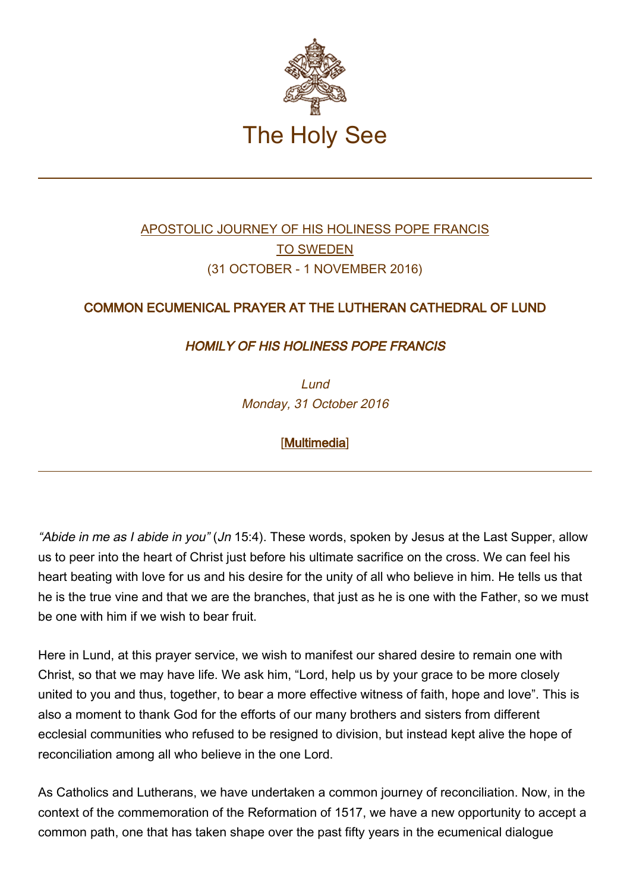

# [APOSTOLIC JOURNEY OF HIS HOLINESS POPE FRANCIS](http://w2.vatican.va/content/francesco/en/travels/2016/outside/documents/papa-francesco-svezia-2016.html) [TO SWEDEN](http://w2.vatican.va/content/francesco/en/travels/2016/outside/documents/papa-francesco-svezia-2016.html) (31 OCTOBER - 1 NOVEMBER 2016)

# COMMON ECUMENICAL PRAYER AT THE LUTHERAN CATHEDRAL OF LUND

# HOMILY OF HIS HOLINESS POPE FRANCIS

Lund Monday, 31 October 2016

## [\[Multimedia](http://w2.vatican.va/content/francesco/en/events/event.dir.html/content/vaticanevents/en/2016/10/31/sveziacattedrale.html)]

"Abide in me as I abide in you" (Jn 15:4). These words, spoken by Jesus at the Last Supper, allow us to peer into the heart of Christ just before his ultimate sacrifice on the cross. We can feel his heart beating with love for us and his desire for the unity of all who believe in him. He tells us that he is the true vine and that we are the branches, that just as he is one with the Father, so we must be one with him if we wish to bear fruit.

Here in Lund, at this prayer service, we wish to manifest our shared desire to remain one with Christ, so that we may have life. We ask him, "Lord, help us by your grace to be more closely united to you and thus, together, to bear a more effective witness of faith, hope and love". This is also a moment to thank God for the efforts of our many brothers and sisters from different ecclesial communities who refused to be resigned to division, but instead kept alive the hope of reconciliation among all who believe in the one Lord.

As Catholics and Lutherans, we have undertaken a common journey of reconciliation. Now, in the context of the commemoration of the Reformation of 1517, we have a new opportunity to accept a common path, one that has taken shape over the past fifty years in the ecumenical dialogue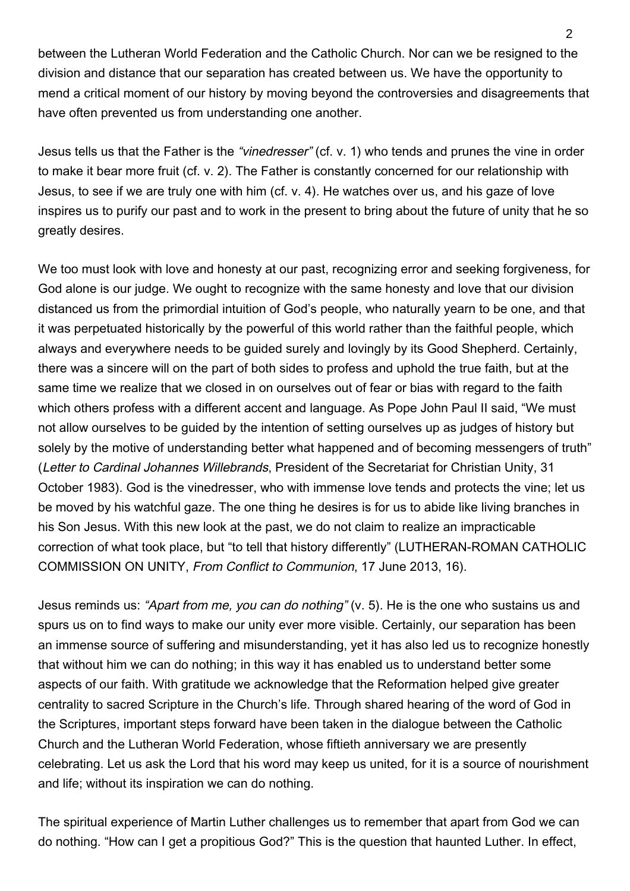between the Lutheran World Federation and the Catholic Church. Nor can we be resigned to the division and distance that our separation has created between us. We have the opportunity to mend a critical moment of our history by moving beyond the controversies and disagreements that have often prevented us from understanding one another.

Jesus tells us that the Father is the "vinedresser" (cf. v. 1) who tends and prunes the vine in order to make it bear more fruit (cf. v. 2). The Father is constantly concerned for our relationship with Jesus, to see if we are truly one with him (cf. v. 4). He watches over us, and his gaze of love inspires us to purify our past and to work in the present to bring about the future of unity that he so greatly desires.

We too must look with love and honesty at our past, recognizing error and seeking forgiveness, for God alone is our judge. We ought to recognize with the same honesty and love that our division distanced us from the primordial intuition of God's people, who naturally yearn to be one, and that it was perpetuated historically by the powerful of this world rather than the faithful people, which always and everywhere needs to be guided surely and lovingly by its Good Shepherd. Certainly, there was a sincere will on the part of both sides to profess and uphold the true faith, but at the same time we realize that we closed in on ourselves out of fear or bias with regard to the faith which others profess with a different accent and language. As Pope John Paul II said, "We must not allow ourselves to be guided by the intention of setting ourselves up as judges of history but solely by the motive of understanding better what happened and of becoming messengers of truth" (Letter to Cardinal Johannes Willebrands, President of the Secretariat for Christian Unity, 31 October 1983). God is the vinedresser, who with immense love tends and protects the vine; let us be moved by his watchful gaze. The one thing he desires is for us to abide like living branches in his Son Jesus. With this new look at the past, we do not claim to realize an impracticable correction of what took place, but "to tell that history differently" (LUTHERAN-ROMAN CATHOLIC COMMISSION ON UNITY, From Conflict to Communion, 17 June 2013, 16).

Jesus reminds us: "Apart from me, you can do nothing" (v. 5). He is the one who sustains us and spurs us on to find ways to make our unity ever more visible. Certainly, our separation has been an immense source of suffering and misunderstanding, yet it has also led us to recognize honestly that without him we can do nothing; in this way it has enabled us to understand better some aspects of our faith. With gratitude we acknowledge that the Reformation helped give greater centrality to sacred Scripture in the Church's life. Through shared hearing of the word of God in the Scriptures, important steps forward have been taken in the dialogue between the Catholic Church and the Lutheran World Federation, whose fiftieth anniversary we are presently celebrating. Let us ask the Lord that his word may keep us united, for it is a source of nourishment and life; without its inspiration we can do nothing.

The spiritual experience of Martin Luther challenges us to remember that apart from God we can do nothing. "How can I get a propitious God?" This is the question that haunted Luther. In effect,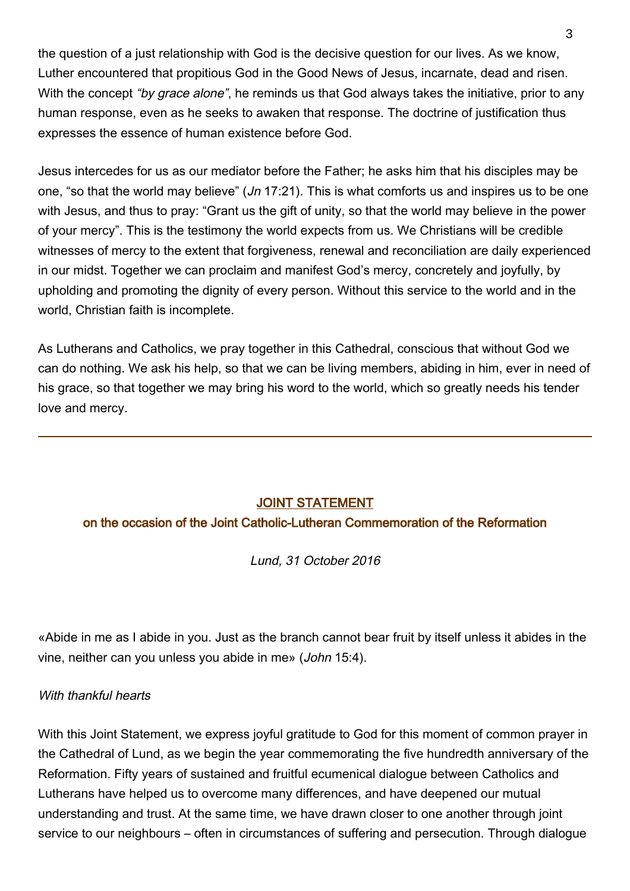the question of a just relationship with God is the decisive question for our lives. As we know, Luther encountered that propitious God in the Good News of Jesus, incarnate, dead and risen. With the concept "by grace alone", he reminds us that God always takes the initiative, prior to any human response, even as he seeks to awaken that response. The doctrine of justification thus expresses the essence of human existence before God.

Jesus intercedes for us as our mediator before the Father; he asks him that his disciples may be one, "so that the world may believe" (*Jn* 17:21). This is what comforts us and inspires us to be one with Jesus, and thus to pray: "Grant us the gift of unity, so that the world may believe in the power of your mercy". This is the testimony the world expects from us. We Christians will be credible witnesses of mercy to the extent that forgiveness, renewal and reconciliation are daily experienced in our midst. Together we can proclaim and manifest God's mercy, concretely and joyfully, by upholding and promoting the dignity of every person. Without this service to the world and in the world, Christian faith is incomplete.

As Lutherans and Catholics, we pray together in this Cathedral, conscious that without God we can do nothing. We ask his help, so that we can be living members, abiding in him, ever in need of his grace, so that together we may bring his word to the world, which so greatly needs his tender love and mercy.

## JOINT STATEMENT on the occasion of the Joint Catholic-Lutheran Commemoration of the Reformation

Lund, 31 October 2016

«Abide in me as I abide in you. Just as the branch cannot bear fruit by itself unless it abides in the vine, neither can you unless you abide in me» (John 15:4).

### With thankful hearts

With this Joint Statement, we express joyful gratitude to God for this moment of common prayer in the Cathedral of Lund, as we begin the year commemorating the five hundredth anniversary of the Reformation. Fifty years of sustained and fruitful ecumenical dialogue between Catholics and Lutherans have helped us to overcome many differences, and have deepened our mutual understanding and trust. At the same time, we have drawn closer to one another through joint service to our neighbours – often in circumstances of suffering and persecution. Through dialogue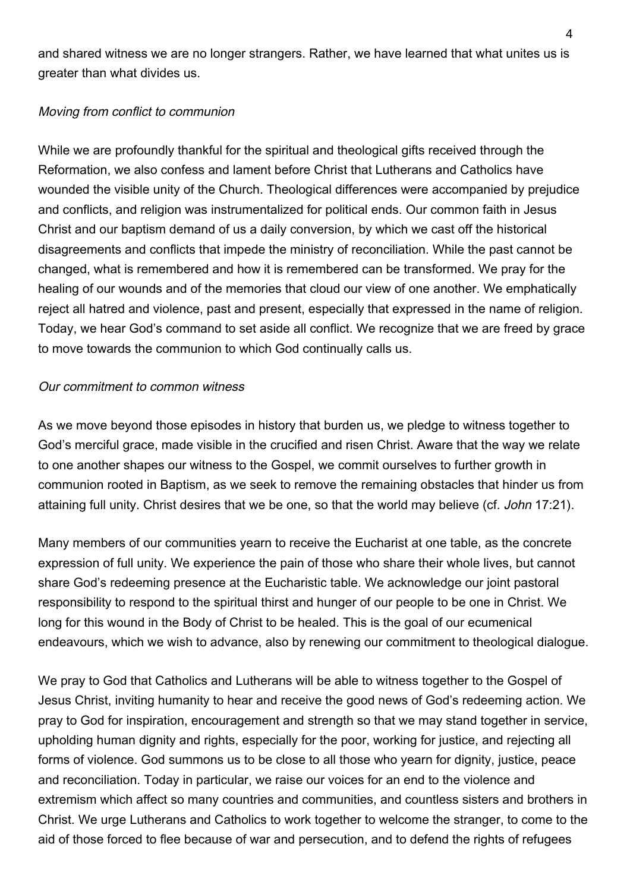and shared witness we are no longer strangers. Rather, we have learned that what unites us is greater than what divides us.

### Moving from conflict to communion

While we are profoundly thankful for the spiritual and theological gifts received through the Reformation, we also confess and lament before Christ that Lutherans and Catholics have wounded the visible unity of the Church. Theological differences were accompanied by prejudice and conflicts, and religion was instrumentalized for political ends. Our common faith in Jesus Christ and our baptism demand of us a daily conversion, by which we cast off the historical disagreements and conflicts that impede the ministry of reconciliation. While the past cannot be changed, what is remembered and how it is remembered can be transformed. We pray for the healing of our wounds and of the memories that cloud our view of one another. We emphatically reject all hatred and violence, past and present, especially that expressed in the name of religion. Today, we hear God's command to set aside all conflict. We recognize that we are freed by grace to move towards the communion to which God continually calls us.

#### Our commitment to common witness

As we move beyond those episodes in history that burden us, we pledge to witness together to God's merciful grace, made visible in the crucified and risen Christ. Aware that the way we relate to one another shapes our witness to the Gospel, we commit ourselves to further growth in communion rooted in Baptism, as we seek to remove the remaining obstacles that hinder us from attaining full unity. Christ desires that we be one, so that the world may believe (cf. John 17:21).

Many members of our communities yearn to receive the Eucharist at one table, as the concrete expression of full unity. We experience the pain of those who share their whole lives, but cannot share God's redeeming presence at the Eucharistic table. We acknowledge our joint pastoral responsibility to respond to the spiritual thirst and hunger of our people to be one in Christ. We long for this wound in the Body of Christ to be healed. This is the goal of our ecumenical endeavours, which we wish to advance, also by renewing our commitment to theological dialogue.

We pray to God that Catholics and Lutherans will be able to witness together to the Gospel of Jesus Christ, inviting humanity to hear and receive the good news of God's redeeming action. We pray to God for inspiration, encouragement and strength so that we may stand together in service, upholding human dignity and rights, especially for the poor, working for justice, and rejecting all forms of violence. God summons us to be close to all those who yearn for dignity, justice, peace and reconciliation. Today in particular, we raise our voices for an end to the violence and extremism which affect so many countries and communities, and countless sisters and brothers in Christ. We urge Lutherans and Catholics to work together to welcome the stranger, to come to the aid of those forced to flee because of war and persecution, and to defend the rights of refugees